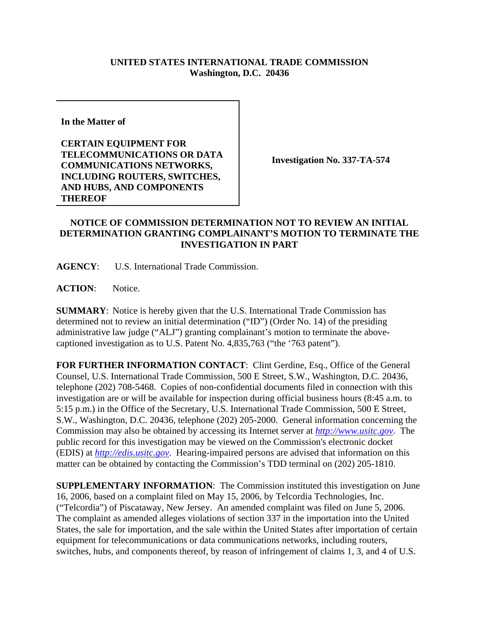## **UNITED STATES INTERNATIONAL TRADE COMMISSION Washington, D.C. 20436**

**In the Matter of** 

**CERTAIN EQUIPMENT FOR TELECOMMUNICATIONS OR DATA COMMUNICATIONS NETWORKS, INCLUDING ROUTERS, SWITCHES, AND HUBS, AND COMPONENTS THEREOF**

**Investigation No. 337-TA-574**

## **NOTICE OF COMMISSION DETERMINATION NOT TO REVIEW AN INITIAL DETERMINATION GRANTING COMPLAINANT'S MOTION TO TERMINATE THE INVESTIGATION IN PART**

**AGENCY**: U.S. International Trade Commission.

ACTION: Notice.

**SUMMARY**: Notice is hereby given that the U.S. International Trade Commission has determined not to review an initial determination ("ID") (Order No. 14) of the presiding administrative law judge ("ALJ") granting complainant's motion to terminate the abovecaptioned investigation as to U.S. Patent No. 4,835,763 ("the '763 patent").

**FOR FURTHER INFORMATION CONTACT**: Clint Gerdine, Esq., Office of the General Counsel, U.S. International Trade Commission, 500 E Street, S.W., Washington, D.C. 20436, telephone (202) 708-5468. Copies of non-confidential documents filed in connection with this investigation are or will be available for inspection during official business hours (8:45 a.m. to 5:15 p.m.) in the Office of the Secretary, U.S. International Trade Commission, 500 E Street, S.W., Washington, D.C. 20436, telephone (202) 205-2000. General information concerning the Commission may also be obtained by accessing its Internet server at *http://www.usitc.gov*. The public record for this investigation may be viewed on the Commission's electronic docket (EDIS) at *http://edis.usitc.gov*. Hearing-impaired persons are advised that information on this matter can be obtained by contacting the Commission's TDD terminal on (202) 205-1810.

**SUPPLEMENTARY INFORMATION**: The Commission instituted this investigation on June 16, 2006, based on a complaint filed on May 15, 2006, by Telcordia Technologies, Inc. ("Telcordia") of Piscataway, New Jersey. An amended complaint was filed on June 5, 2006. The complaint as amended alleges violations of section 337 in the importation into the United States, the sale for importation, and the sale within the United States after importation of certain equipment for telecommunications or data communications networks, including routers, switches, hubs, and components thereof, by reason of infringement of claims 1, 3, and 4 of U.S.